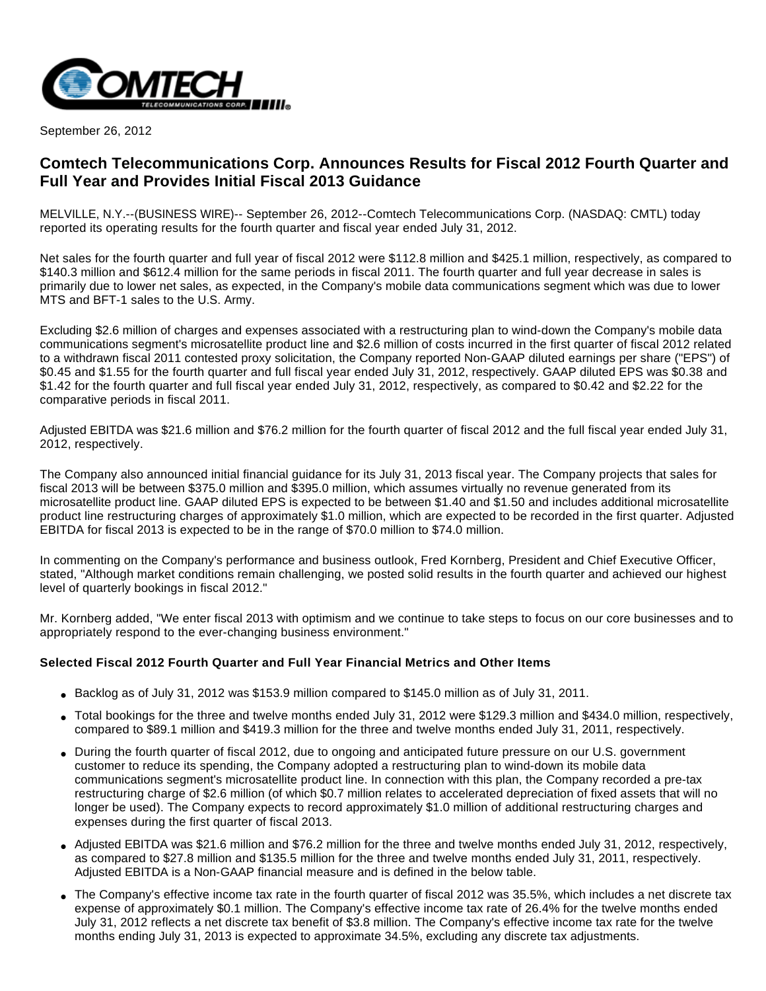

September 26, 2012

## **Comtech Telecommunications Corp. Announces Results for Fiscal 2012 Fourth Quarter and Full Year and Provides Initial Fiscal 2013 Guidance**

MELVILLE, N.Y.--(BUSINESS WIRE)-- September 26, 2012--Comtech Telecommunications Corp. (NASDAQ: CMTL) today reported its operating results for the fourth quarter and fiscal year ended July 31, 2012.

Net sales for the fourth quarter and full year of fiscal 2012 were \$112.8 million and \$425.1 million, respectively, as compared to \$140.3 million and \$612.4 million for the same periods in fiscal 2011. The fourth quarter and full year decrease in sales is primarily due to lower net sales, as expected, in the Company's mobile data communications segment which was due to lower MTS and BFT-1 sales to the U.S. Army.

Excluding \$2.6 million of charges and expenses associated with a restructuring plan to wind-down the Company's mobile data communications segment's microsatellite product line and \$2.6 million of costs incurred in the first quarter of fiscal 2012 related to a withdrawn fiscal 2011 contested proxy solicitation, the Company reported Non-GAAP diluted earnings per share ("EPS") of \$0.45 and \$1.55 for the fourth quarter and full fiscal year ended July 31, 2012, respectively. GAAP diluted EPS was \$0.38 and \$1.42 for the fourth quarter and full fiscal year ended July 31, 2012, respectively, as compared to \$0.42 and \$2.22 for the comparative periods in fiscal 2011.

Adjusted EBITDA was \$21.6 million and \$76.2 million for the fourth quarter of fiscal 2012 and the full fiscal year ended July 31, 2012, respectively.

The Company also announced initial financial guidance for its July 31, 2013 fiscal year. The Company projects that sales for fiscal 2013 will be between \$375.0 million and \$395.0 million, which assumes virtually no revenue generated from its microsatellite product line. GAAP diluted EPS is expected to be between \$1.40 and \$1.50 and includes additional microsatellite product line restructuring charges of approximately \$1.0 million, which are expected to be recorded in the first quarter. Adjusted EBITDA for fiscal 2013 is expected to be in the range of \$70.0 million to \$74.0 million.

In commenting on the Company's performance and business outlook, Fred Kornberg, President and Chief Executive Officer, stated, "Although market conditions remain challenging, we posted solid results in the fourth quarter and achieved our highest level of quarterly bookings in fiscal 2012."

Mr. Kornberg added, "We enter fiscal 2013 with optimism and we continue to take steps to focus on our core businesses and to appropriately respond to the ever-changing business environment."

## **Selected Fiscal 2012 Fourth Quarter and Full Year Financial Metrics and Other Items**

- $\bullet$  Backlog as of July 31, 2012 was \$153.9 million compared to \$145.0 million as of July 31, 2011.
- Total bookings for the three and twelve months ended July 31, 2012 were \$129.3 million and \$434.0 million, respectively, compared to \$89.1 million and \$419.3 million for the three and twelve months ended July 31, 2011, respectively.
- During the fourth quarter of fiscal 2012, due to ongoing and anticipated future pressure on our U.S. government customer to reduce its spending, the Company adopted a restructuring plan to wind-down its mobile data communications segment's microsatellite product line. In connection with this plan, the Company recorded a pre-tax restructuring charge of \$2.6 million (of which \$0.7 million relates to accelerated depreciation of fixed assets that will no longer be used). The Company expects to record approximately \$1.0 million of additional restructuring charges and expenses during the first quarter of fiscal 2013.
- Adjusted EBITDA was \$21.6 million and \$76.2 million for the three and twelve months ended July 31, 2012, respectively, as compared to \$27.8 million and \$135.5 million for the three and twelve months ended July 31, 2011, respectively. Adjusted EBITDA is a Non-GAAP financial measure and is defined in the below table.
- The Company's effective income tax rate in the fourth quarter of fiscal 2012 was 35.5%, which includes a net discrete tax expense of approximately \$0.1 million. The Company's effective income tax rate of 26.4% for the twelve months ended July 31, 2012 reflects a net discrete tax benefit of \$3.8 million. The Company's effective income tax rate for the twelve months ending July 31, 2013 is expected to approximate 34.5%, excluding any discrete tax adjustments.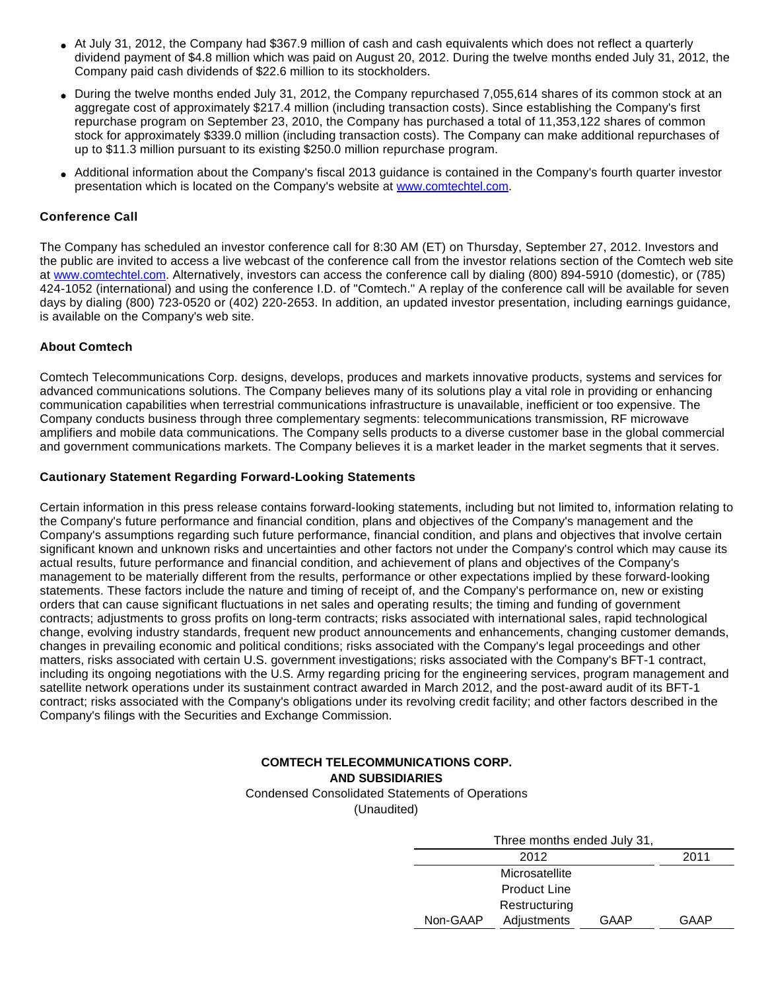- At July 31, 2012, the Company had \$367.9 million of cash and cash equivalents which does not reflect a quarterly dividend payment of \$4.8 million which was paid on August 20, 2012. During the twelve months ended July 31, 2012, the Company paid cash dividends of \$22.6 million to its stockholders.
- During the twelve months ended July 31, 2012, the Company repurchased 7,055,614 shares of its common stock at an aggregate cost of approximately \$217.4 million (including transaction costs). Since establishing the Company's first repurchase program on September 23, 2010, the Company has purchased a total of 11,353,122 shares of common stock for approximately \$339.0 million (including transaction costs). The Company can make additional repurchases of up to \$11.3 million pursuant to its existing \$250.0 million repurchase program.
- Additional information about the Company's fiscal 2013 guidance is contained in the Company's fourth quarter investor presentation which is located on the Company's website at [www.comtechtel.com.](http://cts.businesswire.com/ct/CT?id=smartlink&url=http%3A%2F%2Fwww.comtechtel.com&esheet=50421471&lan=en-US&anchor=www.comtechtel.com&index=1&md5=02bc8a081c195564a19ac38047908575)

## **Conference Call**

The Company has scheduled an investor conference call for 8:30 AM (ET) on Thursday, September 27, 2012. Investors and the public are invited to access a live webcast of the conference call from the investor relations section of the Comtech web site at [www.comtechtel.com.](http://cts.businesswire.com/ct/CT?id=smartlink&url=http%3A%2F%2Fwww.comtechtel.com&esheet=50421471&lan=en-US&anchor=www.comtechtel.com&index=2&md5=264a36b2e2f1e59ff4dc67875d4f3a34) Alternatively, investors can access the conference call by dialing (800) 894-5910 (domestic), or (785) 424-1052 (international) and using the conference I.D. of "Comtech." A replay of the conference call will be available for seven days by dialing (800) 723-0520 or (402) 220-2653. In addition, an updated investor presentation, including earnings guidance, is available on the Company's web site.

### **About Comtech**

Comtech Telecommunications Corp. designs, develops, produces and markets innovative products, systems and services for advanced communications solutions. The Company believes many of its solutions play a vital role in providing or enhancing communication capabilities when terrestrial communications infrastructure is unavailable, inefficient or too expensive. The Company conducts business through three complementary segments: telecommunications transmission, RF microwave amplifiers and mobile data communications. The Company sells products to a diverse customer base in the global commercial and government communications markets. The Company believes it is a market leader in the market segments that it serves.

### **Cautionary Statement Regarding Forward-Looking Statements**

Certain information in this press release contains forward-looking statements, including but not limited to, information relating to the Company's future performance and financial condition, plans and objectives of the Company's management and the Company's assumptions regarding such future performance, financial condition, and plans and objectives that involve certain significant known and unknown risks and uncertainties and other factors not under the Company's control which may cause its actual results, future performance and financial condition, and achievement of plans and objectives of the Company's management to be materially different from the results, performance or other expectations implied by these forward-looking statements. These factors include the nature and timing of receipt of, and the Company's performance on, new or existing orders that can cause significant fluctuations in net sales and operating results; the timing and funding of government contracts; adjustments to gross profits on long-term contracts; risks associated with international sales, rapid technological change, evolving industry standards, frequent new product announcements and enhancements, changing customer demands, changes in prevailing economic and political conditions; risks associated with the Company's legal proceedings and other matters, risks associated with certain U.S. government investigations; risks associated with the Company's BFT-1 contract, including its ongoing negotiations with the U.S. Army regarding pricing for the engineering services, program management and satellite network operations under its sustainment contract awarded in March 2012, and the post-award audit of its BFT-1 contract; risks associated with the Company's obligations under its revolving credit facility; and other factors described in the Company's filings with the Securities and Exchange Commission.

## **COMTECH TELECOMMUNICATIONS CORP. AND SUBSIDIARIES** Condensed Consolidated Statements of Operations

(Unaudited)

|          | 2012                |      | 2011 |
|----------|---------------------|------|------|
|          | Microsatellite      |      |      |
|          | <b>Product Line</b> |      |      |
|          | Restructuring       |      |      |
| Non-GAAP | Adjustments         | GAAP | GAAP |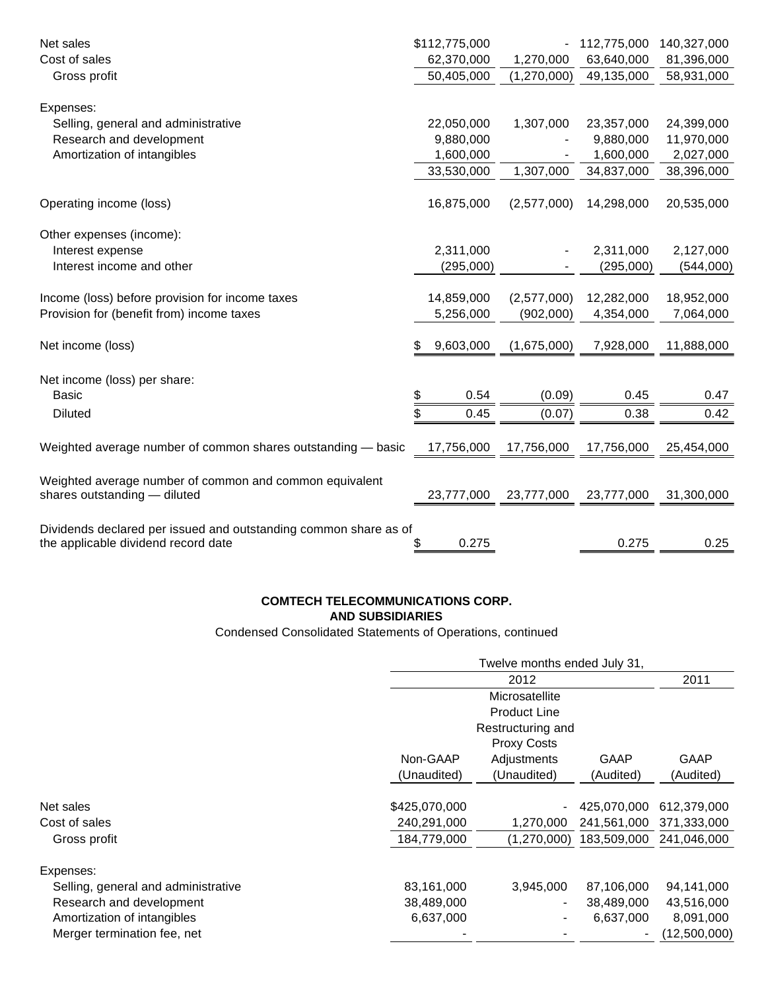| Net sales                                                        | \$112,775,000   |             | 112,775,000 | 140,327,000 |
|------------------------------------------------------------------|-----------------|-------------|-------------|-------------|
| Cost of sales                                                    | 62,370,000      | 1,270,000   | 63,640,000  | 81,396,000  |
| Gross profit                                                     | 50,405,000      | (1,270,000) | 49,135,000  | 58,931,000  |
|                                                                  |                 |             |             |             |
| Expenses:                                                        |                 |             |             |             |
| Selling, general and administrative                              | 22,050,000      | 1,307,000   | 23,357,000  | 24,399,000  |
| Research and development                                         | 9,880,000       |             | 9,880,000   | 11,970,000  |
| Amortization of intangibles                                      | 1,600,000       |             | 1,600,000   | 2,027,000   |
|                                                                  | 33,530,000      | 1,307,000   | 34,837,000  | 38,396,000  |
|                                                                  |                 |             |             |             |
| Operating income (loss)                                          | 16,875,000      | (2,577,000) | 14,298,000  | 20,535,000  |
|                                                                  |                 |             |             |             |
| Other expenses (income):                                         |                 |             |             |             |
| Interest expense                                                 | 2,311,000       |             | 2,311,000   | 2,127,000   |
| Interest income and other                                        | (295,000)       |             | (295,000)   | (544,000)   |
|                                                                  |                 |             |             |             |
| Income (loss) before provision for income taxes                  | 14,859,000      | (2,577,000) | 12,282,000  | 18,952,000  |
| Provision for (benefit from) income taxes                        | 5,256,000       | (902,000)   | 4,354,000   | 7,064,000   |
|                                                                  |                 |             |             |             |
| Net income (loss)                                                | 9,603,000<br>\$ | (1,675,000) | 7,928,000   | 11,888,000  |
|                                                                  |                 |             |             |             |
| Net income (loss) per share:                                     |                 |             |             |             |
| <b>Basic</b>                                                     | 0.54<br>\$      | (0.09)      | 0.45        | 0.47        |
| <b>Diluted</b>                                                   | 0.45<br>\$      | (0.07)      | 0.38        | 0.42        |
|                                                                  |                 |             |             |             |
| Weighted average number of common shares outstanding - basic     | 17,756,000      | 17,756,000  | 17,756,000  | 25,454,000  |
|                                                                  |                 |             |             |             |
| Weighted average number of common and common equivalent          |                 |             |             |             |
| shares outstanding - diluted                                     | 23,777,000      | 23,777,000  | 23,777,000  | 31,300,000  |
|                                                                  |                 |             |             |             |
| Dividends declared per issued and outstanding common share as of |                 |             |             |             |
| the applicable dividend record date                              | 0.275<br>\$     |             | 0.275       | 0.25        |

## **COMTECH TELECOMMUNICATIONS CORP. AND SUBSIDIARIES**

Condensed Consolidated Statements of Operations, continued

|                                     | Twelve months ended July 31,             |                |                   |                          |  |
|-------------------------------------|------------------------------------------|----------------|-------------------|--------------------------|--|
|                                     |                                          |                | 2011              |                          |  |
|                                     | Microsatellite                           |                |                   |                          |  |
|                                     | <b>Product Line</b>                      |                |                   |                          |  |
|                                     | Restructuring and<br><b>Proxy Costs</b>  |                |                   |                          |  |
|                                     |                                          |                |                   |                          |  |
|                                     | Non-GAAP                                 | Adjustments    | GAAP<br>(Audited) | <b>GAAP</b><br>(Audited) |  |
|                                     | (Unaudited)                              | (Unaudited)    |                   |                          |  |
|                                     |                                          |                |                   |                          |  |
| Net sales                           | \$425,070,000                            | $\blacksquare$ | 425.070.000       | 612,379,000              |  |
| Cost of sales                       | 240,291,000                              | 1,270,000      | 241,561,000       | 371,333,000              |  |
| Gross profit                        | 184,779,000                              | (1,270,000)    | 183,509,000       | 241,046,000              |  |
| Expenses:                           |                                          |                |                   |                          |  |
| Selling, general and administrative | 83,161,000                               | 3,945,000      | 87,106,000        | 94,141,000               |  |
| Research and development            | 38,489,000                               | $\blacksquare$ | 38,489,000        | 43,516,000               |  |
| Amortization of intangibles         | 6,637,000<br>6,637,000<br>$\blacksquare$ |                |                   |                          |  |
| Merger termination fee, net         |                                          |                |                   | (12,500,000)             |  |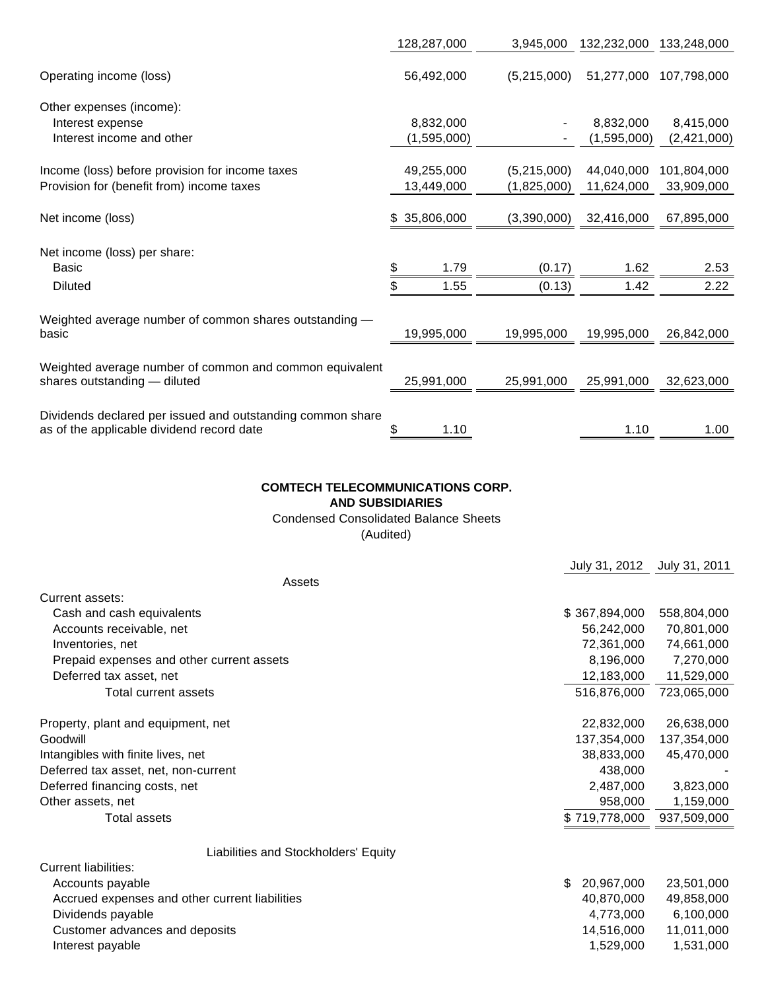|                                                                                                         |    | 128,287,000  | 3,945,000   | 132,232,000 | 133,248,000 |
|---------------------------------------------------------------------------------------------------------|----|--------------|-------------|-------------|-------------|
| Operating income (loss)                                                                                 |    | 56,492,000   | (5,215,000) | 51,277,000  | 107,798,000 |
| Other expenses (income):                                                                                |    |              |             |             |             |
| Interest expense                                                                                        |    | 8,832,000    |             | 8,832,000   | 8,415,000   |
| Interest income and other                                                                               |    | (1,595,000)  |             | (1,595,000) | (2,421,000) |
| Income (loss) before provision for income taxes                                                         |    | 49,255,000   | (5,215,000) | 44,040,000  | 101,804,000 |
| Provision for (benefit from) income taxes                                                               |    | 13,449,000   | (1,825,000) | 11,624,000  | 33,909,000  |
| Net income (loss)                                                                                       |    | \$35,806,000 | (3,390,000) | 32,416,000  | 67,895,000  |
| Net income (loss) per share:                                                                            |    |              |             |             |             |
| <b>Basic</b>                                                                                            | \$ | 1.79         | (0.17)      | 1.62        | 2.53        |
| <b>Diluted</b>                                                                                          | \$ | 1.55         | (0.13)      | 1.42        | 2.22        |
| Weighted average number of common shares outstanding -                                                  |    |              |             |             |             |
| basic                                                                                                   |    | 19,995,000   | 19,995,000  | 19,995,000  | 26,842,000  |
| Weighted average number of common and common equivalent                                                 |    |              |             |             |             |
| shares outstanding - diluted                                                                            |    | 25,991,000   | 25,991,000  | 25,991,000  | 32,623,000  |
|                                                                                                         |    |              |             |             |             |
| Dividends declared per issued and outstanding common share<br>as of the applicable dividend record date | \$ | 1.10         |             | 1.10        | 1.00        |

## **COMTECH TELECOMMUNICATIONS CORP.**

**AND SUBSIDIARIES**

Condensed Consolidated Balance Sheets

(Audited)

|                                                | July 31, 2012    | July 31, 2011 |
|------------------------------------------------|------------------|---------------|
| Assets                                         |                  |               |
| Current assets:                                |                  |               |
| Cash and cash equivalents                      | \$367,894,000    | 558,804,000   |
| Accounts receivable, net                       | 56,242,000       | 70,801,000    |
| Inventories, net                               | 72,361,000       | 74,661,000    |
| Prepaid expenses and other current assets      | 8,196,000        | 7,270,000     |
| Deferred tax asset, net                        | 12,183,000       | 11,529,000    |
| Total current assets                           | 516,876,000      | 723,065,000   |
|                                                |                  |               |
| Property, plant and equipment, net             | 22,832,000       | 26,638,000    |
| Goodwill                                       | 137,354,000      | 137,354,000   |
| Intangibles with finite lives, net             | 38,833,000       | 45,470,000    |
| Deferred tax asset, net, non-current           | 438,000          |               |
| Deferred financing costs, net                  | 2,487,000        | 3,823,000     |
| Other assets, net                              | 958,000          | 1,159,000     |
| Total assets                                   | \$719,778,000    | 937,509,000   |
| Liabilities and Stockholders' Equity           |                  |               |
| <b>Current liabilities:</b>                    |                  |               |
| Accounts payable                               | \$<br>20,967,000 | 23,501,000    |
| Accrued expenses and other current liabilities | 40,870,000       | 49,858,000    |
| Dividends payable                              | 4,773,000        | 6,100,000     |
| Customer advances and deposits                 | 14,516,000       | 11,011,000    |
| Interest payable                               | 1,529,000        | 1,531,000     |
|                                                |                  |               |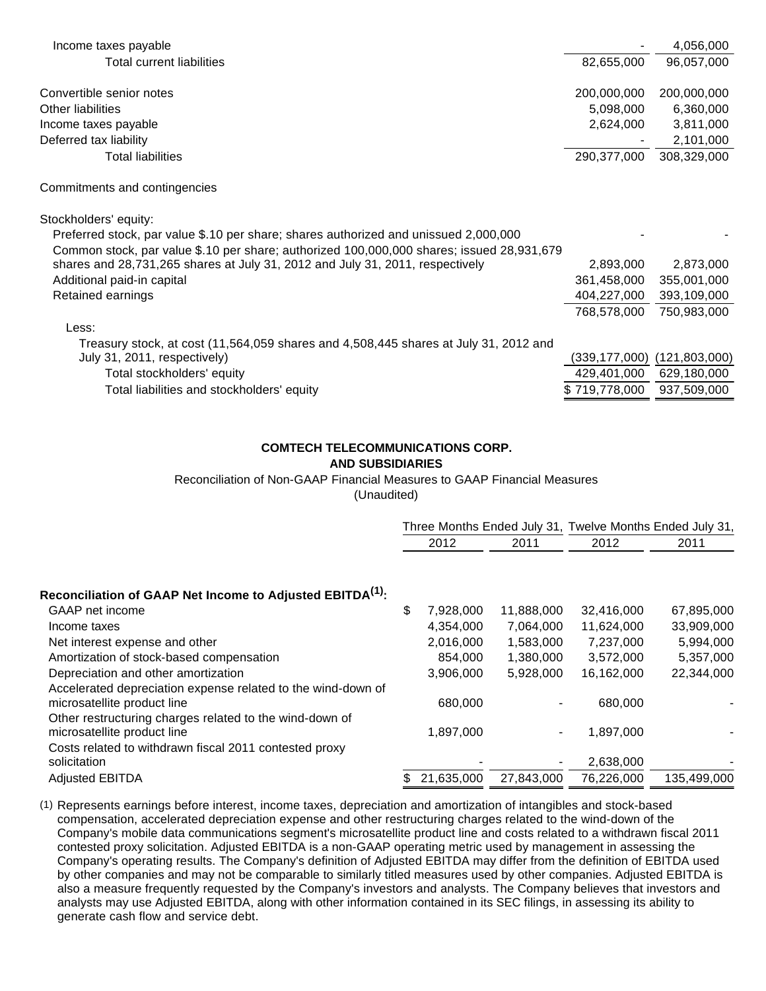| Income taxes payable                                                                                                 |             | 4,056,000                   |
|----------------------------------------------------------------------------------------------------------------------|-------------|-----------------------------|
| Total current liabilities                                                                                            | 82,655,000  | 96,057,000                  |
|                                                                                                                      |             |                             |
| Convertible senior notes                                                                                             | 200,000,000 | 200,000,000                 |
| Other liabilities                                                                                                    | 5,098,000   | 6,360,000                   |
| Income taxes payable                                                                                                 | 2,624,000   | 3,811,000                   |
| Deferred tax liability                                                                                               |             | 2,101,000                   |
| Total liabilities                                                                                                    | 290,377,000 | 308,329,000                 |
| Commitments and contingencies                                                                                        |             |                             |
| Stockholders' equity:                                                                                                |             |                             |
| Preferred stock, par value \$.10 per share; shares authorized and unissued 2,000,000                                 |             |                             |
| Common stock, par value \$.10 per share; authorized 100,000,000 shares; issued 28,931,679                            |             |                             |
| shares and 28,731,265 shares at July 31, 2012 and July 31, 2011, respectively                                        | 2,893,000   | 2,873,000                   |
| Additional paid-in capital                                                                                           | 361,458,000 | 355,001,000                 |
| Retained earnings                                                                                                    | 404,227,000 | 393,109,000                 |
|                                                                                                                      | 768,578,000 | 750,983,000                 |
| Less:                                                                                                                |             |                             |
| Treasury stock, at cost (11,564,059 shares and 4,508,445 shares at July 31, 2012 and<br>July 31, 2011, respectively) |             | (339,177,000) (121,803,000) |

Total stockholders' equity 429,401,000 629,180,000 Total liabilities and stockholders' equity the state of the state of the state of the state of the state of the state of the state of the state of the state of the state of the state of the state of the state of the state

# **COMTECH TELECOMMUNICATIONS CORP.**

## **AND SUBSIDIARIES**

## Reconciliation of Non-GAAP Financial Measures to GAAP Financial Measures

(Unaudited)

|                                                                                             |                 |                | Three Months Ended July 31, Twelve Months Ended July 31, |             |
|---------------------------------------------------------------------------------------------|-----------------|----------------|----------------------------------------------------------|-------------|
|                                                                                             | 2012            | 2011           | 2012                                                     | 2011        |
|                                                                                             |                 |                |                                                          |             |
| Reconciliation of GAAP Net Income to Adjusted EBITDA <sup>(1)</sup> :                       |                 |                |                                                          |             |
| GAAP net income                                                                             | \$<br>7,928,000 | 11,888,000     | 32,416,000                                               | 67,895,000  |
| Income taxes                                                                                | 4,354,000       | 7,064,000      | 11,624,000                                               | 33,909,000  |
| Net interest expense and other                                                              | 2,016,000       | 1,583,000      | 7,237,000                                                | 5,994,000   |
| Amortization of stock-based compensation                                                    | 854.000         | 1,380,000      | 3,572,000                                                | 5,357,000   |
| Depreciation and other amortization                                                         | 3,906,000       | 5,928,000      | 16,162,000                                               | 22,344,000  |
| Accelerated depreciation expense related to the wind-down of<br>microsatellite product line | 680,000         |                | 680,000                                                  |             |
| Other restructuring charges related to the wind-down of<br>microsatellite product line      | 1,897,000       | $\blacksquare$ | 1,897,000                                                |             |
| Costs related to withdrawn fiscal 2011 contested proxy<br>solicitation                      |                 |                | 2,638,000                                                |             |
| <b>Adjusted EBITDA</b>                                                                      | 21,635,000      | 27,843,000     | 76,226,000                                               | 135,499,000 |

(1) Represents earnings before interest, income taxes, depreciation and amortization of intangibles and stock-based compensation, accelerated depreciation expense and other restructuring charges related to the wind-down of the Company's mobile data communications segment's microsatellite product line and costs related to a withdrawn fiscal 2011 contested proxy solicitation. Adjusted EBITDA is a non-GAAP operating metric used by management in assessing the Company's operating results. The Company's definition of Adjusted EBITDA may differ from the definition of EBITDA used by other companies and may not be comparable to similarly titled measures used by other companies. Adjusted EBITDA is also a measure frequently requested by the Company's investors and analysts. The Company believes that investors and analysts may use Adjusted EBITDA, along with other information contained in its SEC filings, in assessing its ability to generate cash flow and service debt.